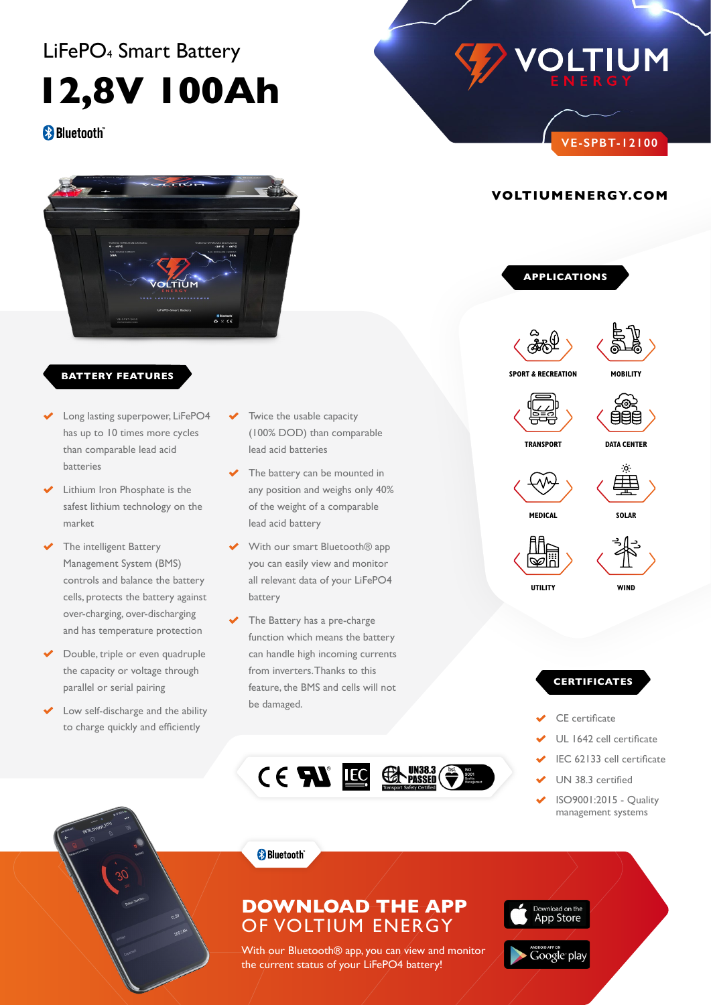# LiFePO4 Smart Battery

**12,8V 100Ah**

## **Bluetooth**



### **BATTERY FEATURES**

- Long lasting superpower, LiFePO4 has up to 10 times more cycles than comparable lead acid batteries
- ࠠ Lithium Iron Phosphate is the safest lithium technology on the market
- The intelligent Battery Management System (BMS) controls and balance the battery over-charging, over-discharging and has temperature protection optimizing battery performance
- ࠠ Double, triple or even quadruple the capacity or voltage through parallel or serial pairing
- Low self-discharge and the ability some charge and are about.<br>to charge quickly and efficiently **•** Rugged impact resistant ABS case\
- Twice the usable capacity **Prefixable Capacity**<br> **PSL-SC-12000-G27** (100% DOD) than comparable **Read acid batteries**<br> **Reconnection Phosphate Batteries**
- **PSL-SC PSL-SC PSL-SC Life Boattery can be mounted in** Range Boattery can be mounted in any position and weighs only 40% any position and weight only a<br>gy on the of the weight of a comparable reducing the risk of explosion or combustion or combustion due to high due to high due to high due to high due to high due to high due to high due to high due to high due to high due to high due to high due to high due to **b** Sy on the same for the weight of a comparable (Sy on the most of the most of  $\frac{1}{2}$ any position and we<br>
of the weight of a c **•** Super safe lithium iron phosphate (LiFePO4) chemistry any position and **v**<br>of the weight of a **•** Super safe of the weight of a comparable<br> **Ford paid better**
- rells, protects the battery against **battery** battery  $\blacktriangleright$  With our smart Bluetooth® app you can easily view and monitor **•** Battery Management System (BMS) controls the all relevant data of your LiFePO4 protecting against over-charging and over-discharging protecting against over-charging and over-discharging protecting against over-charging and over-discharging battery parameters of the batter of the batters of the battery by pour can easily view and monitor **•** Battery Management System (BMS) controls the you can easily view and monitor **•** Buttery **battery** cells, and balances the balances the balances the balances of  $\theta$ optimizing battery performance **•** Battery Management System (BMS) controls the you can easily view and monitor **•** BMS enhanced design balances the balances the balances the balances the balances of the balances of the balances of the balances of the balances of the balances of the balances of the balances of the balances of the ba optimizing battery performance
	- $\longrightarrow$  The Battery has a pre-charge function which means the battery ،<br>**•** 4 Gan handle high incoming currents لوan handle high incoming **•• From inverters. Thanks to this**<br>
	•• Faster charging and lower self-discharge and lower self-discharge and lower self-discharge and lower self-discharge and lower self-discharge and lower self-discharge and lower self-d **•** Up to 10 times more called a set than  $\frac{1}{2}$  than 10 times more cycles than  $\frac{1}{2}$  than  $\frac{1}{2}$  than 10 times more cycles than  $\frac{1}{2}$  than 10 times more cycles than 10 times more cycles than 10 times more cy **•** Comparable de damaged.<br> **•** Comparable lead on ly 40% of the weight of comparable lead on the weight of comparable lead on the weight of comparable lead on the weight of comparable lead on the weight of comparable lead here are the constant maintain maintaining constants **•** *• •* **Can handle high incoming currents** high discharge rates, while maintaining constant power **•** *• •* **Oran and accompanying the power of the power of lead and accompanying the power of the power of the power**  $\frac{1}{2}$ high discharge rates, while maintaining constant power



**APPLICATIONS**

**VOLTIUMENERGY.COM**





**MOBILITY**

**VE-SPBT-12100**

**OLTIUM** 



 $\sqrt{\Delta_{\rm eff}-\Delta_{\rm eff}}$   $\sim$  Gee  $\sim$ 

The PSL-SC Series comes with an intelligent battery

**TRANSPORT DATA CENTER** management system which monitors current and voltages during charge and discharge and discrete and discrete and discrete the battery of the battery of the battery o<br>International charge and discrete the battery of the battery of the battery of the battery of the battery of t management system which monitors current and voltages during charge and discrete and discrete and discrete and discrete the battery of the battery of the battery of management system which monitors current and voltages during charge and discrete and discrete and discrete and discrete structure in the battery of the battery of t<br>In the battery of the battery of the battery of the battery of the battery of the battery of the battery of th



 $\sqrt{\Delta_{\rm LL}}$   $\sqrt{\Delta_{\rm AB}}$   $\sqrt{\Delta_{\rm AB}}$ 

constantly at the same voltage level, optimizing battery constantly at the same voltage level, optimizing battery constantly at the same voltage level, optimizing battery

**MEDICAL** SOLAR

**SERIAL PHONECTION CAPABLE**  $\langle \mathbb{Q} \mathbb{Z} \rangle$  (  $\mathbb{Z}$  ) series or 4 in parallel, but not concurrently. The batteries and the contraction capable of the contraction of the contraction of the contraction of the contraction of the <br>The contraction of the contraction of the contraction of the contraction of the contraction of the contraction The SC series allows for up to 4 batteries connected in  $s = \frac{1}{\sqrt{2\pi}}$ ि सी वाटी देखा है।<br>प्रसिद्धा संस्कृत संस्कृत संस्कृत संस्कृत संस्कृत संस्कृत संस्कृत संस्कृत संस्कृत संस्कृत संस्कृत संस्कृत संस्  $\langle \mathbb{Q} \mathbb{Z} \rangle$  and  $\langle \mathbb{Z} \rangle$ series or 4 in parallel, but not concurrently. The batteries

**•** Utility

**UTILITY WIND** must all be matched at voltage levels, capacity, state of  $\mathbf{w}$ UTILITY WIND utility and windows windows at voltage levels, capacity, capacity, state of the capacity, state of the capacity

#### **PERTIFICATES •** Transport **PERFIFICATES •** Wind **•** Transport **•** Wind **•** Transport

- **◆** CE certificate
- ◆ UL 1642 cell certificate **CE LOTZ CET COLUMNATE CE LOTE CET LIFE CONDUCT CE TOTZ CET COLUTIVALE**
- **Approximate Weight 28.2 Approximate Weight 28.2** left certificate
- **Internal Resistance ≤30.0 V** UN 38.3 certified **Max Charge Current** 100 A
- **Max Discharge Current** 100 **A** ISO 900 1:2015 Quality **management systems**

**Series & Parallel Connection 4 in series or 4 in parallel**

**Short Circuit Protection** Automatically recover after removal of **Dimensional Tolerances** +/- 0.04 in. (+/- 1mm) for length and width

**Short Circuit Protection** Automatically recover after removal of **Dimensional Tolerances** +/- 0.04 in. (+/- 1mm) for length and width

**Short Circuit Protection** Automatically recover after removal of **Dimensional Tolerances** +/- 0.04 in. (+/- 1mm) for length and width

**Series & Parallel Connection 4 in series or 4 in parallel**

**Series & Parallel Connection 4 in series or 4 in parallel**

59°F (15°C) to 95°F (35°C)



# DOWNLOAD THE APP **List COLTIUM ENERGY**

With our Bluetooth<sup>®</sup> app, you can view and monitor the current status of your LiFePO4 battery! **With our Bluetooth® app,**